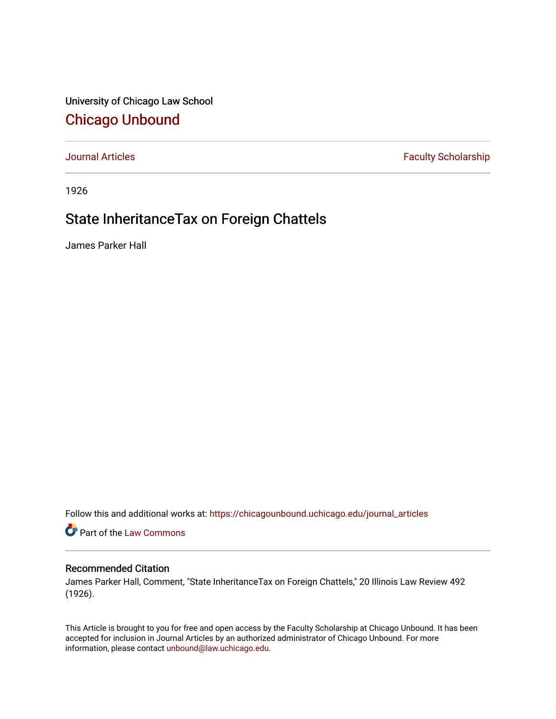University of Chicago Law School [Chicago Unbound](https://chicagounbound.uchicago.edu/)

[Journal Articles](https://chicagounbound.uchicago.edu/journal_articles) **Faculty Scholarship Faculty Scholarship** 

1926

## State InheritanceTax on Foreign Chattels

James Parker Hall

Follow this and additional works at: [https://chicagounbound.uchicago.edu/journal\\_articles](https://chicagounbound.uchicago.edu/journal_articles?utm_source=chicagounbound.uchicago.edu%2Fjournal_articles%2F9399&utm_medium=PDF&utm_campaign=PDFCoverPages) 

Part of the [Law Commons](http://network.bepress.com/hgg/discipline/578?utm_source=chicagounbound.uchicago.edu%2Fjournal_articles%2F9399&utm_medium=PDF&utm_campaign=PDFCoverPages)

## Recommended Citation

James Parker Hall, Comment, "State InheritanceTax on Foreign Chattels," 20 Illinois Law Review 492 (1926).

This Article is brought to you for free and open access by the Faculty Scholarship at Chicago Unbound. It has been accepted for inclusion in Journal Articles by an authorized administrator of Chicago Unbound. For more information, please contact [unbound@law.uchicago.edu](mailto:unbound@law.uchicago.edu).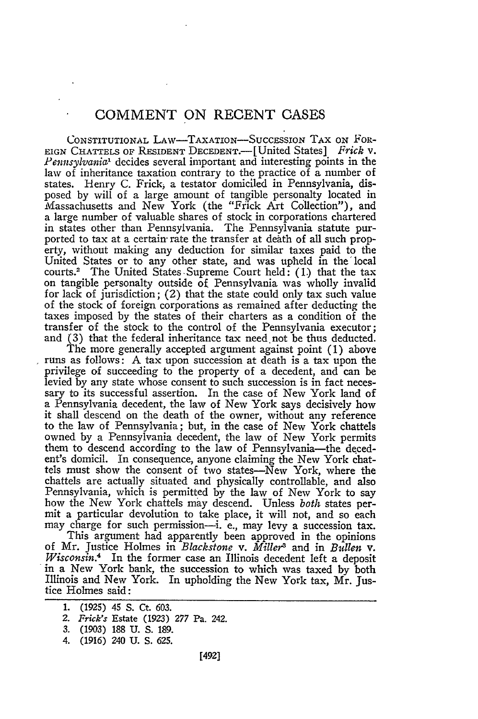## **COMMENT ON RECENT CASES**

CONSTITUTIONAL LAW—TAXATION—SUCCESSION TAX ON FOR-EIGN CHATTELS OF RESIDENT DECEDENT.-[United States] *Frick v. Pennsylvania'* decides several important and interesting points in the law of inheritance taxation contrary to the practice of a number of states. Henry C. Frick, a testator domiciled in Pennsylvania, disposed by will of a large amount of tangible personalty located in Massachusetts and New York (the "Fiick Art Collection"), and a large number of valuable shares of stock in corporations chartered in states other than Pennsylvania. The Pennsylvania statute purported to tax at a certain- rate the transfer at death of all such property, without making any deduction for similar taxes paid to the United States or to any other state, and was upheld in the local courts.<sup>2</sup> The United States Supreme Court held: (1) that the tax on tangible personalty outside of Pennsylvania was wholly invalid for lack of jurisdiction; (2) that the state could only tax such value of the stock of foreign corporations as remained after deducting the taxes imposed by the states of their charters as a condition of the transfer of the stock to the control of the Pennsylvania executor; and (3) that the federal inheritance tax need not be thus deducted.

The more generally accepted argument against point (1) above runs as follows: A tax upon succession at death is a tax upon the privilege of succeeding to the property of a decedent, and can be levied by any state whose consent to such succession is in fact necessary to its successful assertion. In the case of New York land of a Pennsylvania decedent, the law of New York says decisively how it shall descend on the death of the owner, without any reference to the law of Pennsylvania; but, in the case of New York chattels owned by a Pennsylvania decedent, the law of New York permits them to descend according to the law of Pennsylvania-the decedent's domicil. In consequence, anyone claiming the New York chattels must show the consent of two states-New York, where the chattels are actually situated and physically controllable, and also Pennsylvania, which is permitted by the law of New York to say how the New York chattels may descend. Unless *both* states permit a particular devolution to take place, it will not, and so each may charge for such permission-i. e., may levy a succession tax.

This argument had apparently been approved in the opinions of Mr. Justice Holmes in *Blackstone v. Miller3* and in Bullen **v.** *Wisconsin.4* In the former case an Illinois decedent left a deposit in a New York bank, the succession to which was taxed **by** both Illinois and New York. In upholding the New York tax, Mr. Justice Holmes said:

4. (1916) 240 U. S. 625.

**<sup>1.</sup>** (1925) 45 **S.** Ct. 603.

*<sup>2.</sup> Frick's* Estate (1923) 277 Pa. 242.

**<sup>3.</sup>** (1903) 188 U. S. 189.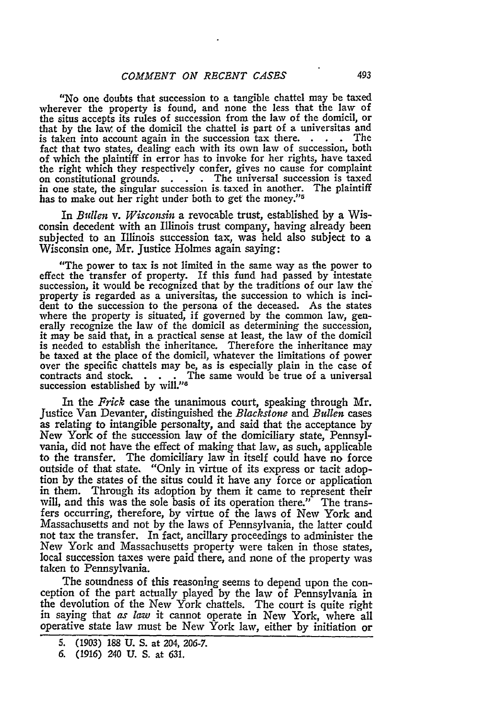"No one doubts that succession to a tangible chattel may be taxed wherever the property is found, and none the less that the law of the situs accepts its rules of succession from the law of the domicil, or that by the law, of the domicil the chattel is part of a universitas and is taken into account again in the succession tax there. . **.** . The fact that two states, dealing each with its own law of succession, both of which the plaintiff in error has to invoke for her rights, have taxed the right which they respectively confer, gives no cause for complaint on constitutional grounds. . **.** . The universal succession is taxed in one state, the singular succession is. taxed in another. The plaintiff has to make out her right under both to get the money."<sup>5</sup>

In *Bullen v. Wisconsin* a revocable trust, established by a Wisconsin decedent with an Illinois trust company, having already been subjected to an Illinois succession tax, was held also subject to a Wisconsin one, Mr. Justice Holmes again saying:

"The power to tax is not limited in the same way as the power to effect the transfer of property. If this fund had passed **by** intestate succession, it would be recognized that **by** the traditions of our law the property is regarded as a universitas, the succession to which is incident to the succession to the persona of the deceased. As the states where the property is situated, if governed **by** the common law, generally recognize the law of the domicil as determining the succession, it may be said that, in a practical sense at least, the law of the domicil is needed to establish the inheritance. Therefore the inheritance may be taxed at the place of the domicil, whatever the limitations of power be taxed at the place of the domicil, whatever the limitations of power<br>over the specific chattels may be, as is especially plain in the case of<br>contracts and stock..... The same would be true of a universal The same would be true of a universal succession established by **will."8**

In the *Frick* case the unanimous court, speaking through Mr. Justice Van Devanter, distinguished the *Blackstone* and *Bullen* cases as relating to intangible personalty, and said that the acceptance **by** New York of the succession law of the domiciliary state, Pennsylvania, did not have the effect of making that law, as such, applicable to the transfer. The domiciliary law in itself could have no force outside of that state. "Only in virtue of its express or tacit adoption **by** the states of the situs could it have any force or application in them. Through its adoption **by** them it came to represent their will, and this was the sole basis of its operation there." The transfers occurring, therefore, **by** virtue of the laws of New York and Massachusetts and not **by** the laws of Pennsylvania, the latter could not tax the transfer. In fact, ancillary proceedings to administer the New York and Massachusetts property were taken in those states, local succession taxes were paid there, and none of the property was taken to Pennsylvania.

The soundness of this reasoning seems to depend upon the conception of the part actually played by the law of Pennsylvania in the devolution of the New York chattels. The court is quite right in saying that *as law* it cannot operate in New York, where all operative state law must be New York law, either by initiation or

<sup>5. (1903) 188</sup> U. S. at 204, 206-7.

*<sup>6.</sup>* (1916) 240 U. S. at 631.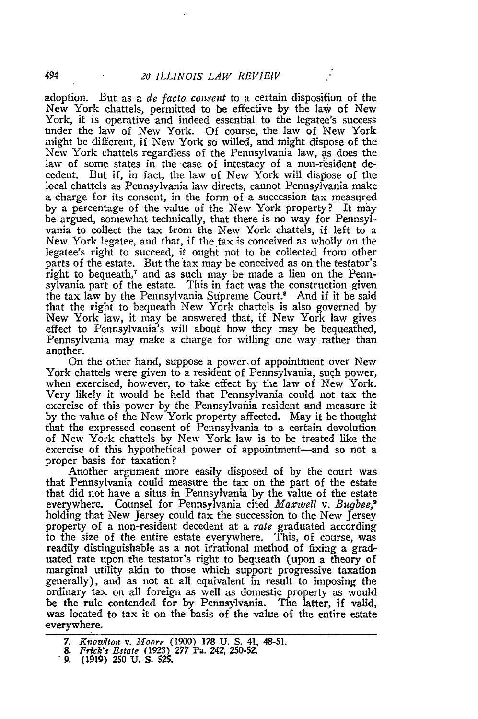adoption. But as a *de facto consent* to a certain disposition of the New York chattels, permitted to be effective by the law of New York, it is operative and indeed essential to the legatee's success under the law of New York. Of course, the law of New York might be different, if New York so willed, and might dispose of the New York chattels regardless of the Pennsylvania law, as does the law of some states in the case of intestacy of a non-resident decedent. But if, in fact, the law of New York will dispose of the local chattels as Pennsylvania law directs, cannot Pennsylvania make a charge for its consent, in the form of a succession tax measured by a percentage of the value of the New York property? It may be argued, somewhat technically, that there is no way for Pennsylvania to collect the tax from the New York chattels, if left to a New York legatee, and that, if the tax is conceived as wholly on the legatee's right to succeed, it ought not to be collected from other parts of the estate. But the tax may be conceived as on the testator's right to bequeath,<sup>7</sup> and as such may be made a lien on the Pennsylvania part of the estate. This in fact was the construction given the tax law by the Pennsylvania Supreme Court.<sup>8</sup> And if it be said that the right to bequeath New York chattels is also governed by New York law, it may be answered that, if New York law gives effect to Pennsylvania's will about how they may be bequeathed, Pennsylvania may make a charge for willing one way rather than another.

On the other hand, suppose a power of appointment over New York chattels were given to a resident of Pennsylvania, such power, when exercised, however, to take effect by the law of New York. Very likely it would be held that Pennsylvania could not tax the exercise of this power by the Pennsylvania resident and measure it by the value of the New York property affected. May it be thought that the expressed consent of Pennsylvania to a certain devolution of New York chattels by New York law is to be treated like the exercise of this hypothetical power of appointment-and so not a proper basis for taxation?

Another argument more easily disposed of by the court was that Pennsylvania could measure the tax on the part of the estate that did not have a situs in Pennsylvania by the value of the estate everywhere. Counsel for Pennsylvania cited *Maxwell* v. Bugbee,<sup>9</sup> holding that New Jersey could tax the succession to the New Jersey property of a non-resident decedent at a *rate* graduated according to the size of the entire estate everywhere. This, of course, was readily distinguishable as a not irrational method of fixing a graduated rate upon the testator's right to bequeath (upon a theory of marginal utility akin to those which support progressive taxation generally), and as not at all equivalent in result to imposing the ordinary tax on all foreign as well as domestic property as would be the rule contended for by Pennsylvania. The latter, if valid, was located to tax it on the basis of the value of the entire estate everywhere.

- 
- 

*<sup>7.</sup> Knowlton v. Moore* (1900) 178 U. **S.** 41, 48-51. *8. Frick's Estate* (1923) *277* Pa. 242, **250-5Z 9. (1919) 250 U. S. 525.**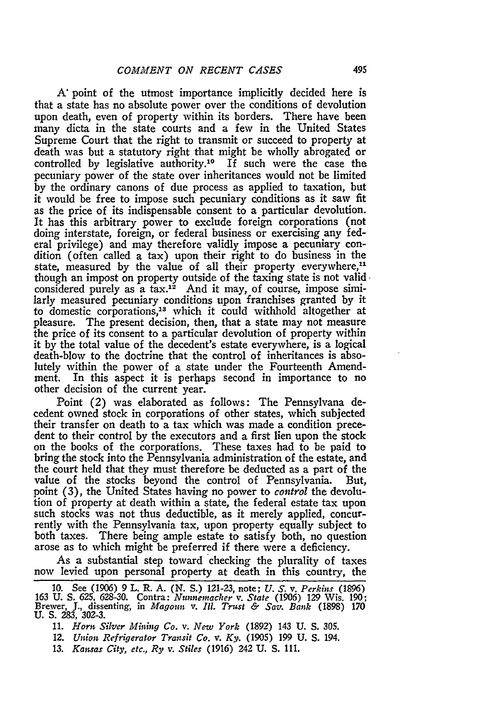**A\*** point of the utmost importance implicitly decided here is that a state has no absolute power over the conditions of devolution upon death, even of property within its borders. There have been many dicta in the state courts and a few in the United States Supreme Court that the right to transmit or succeed to property at death was but a statutory right that might be wholly abrogated or controlled by legislative authority.<sup>10</sup> If such were the case the pecuniary power of the state over inheritances would not be limited by the ordinary canons of due process as applied to taxation, but it would be free to impose such pecuniary conditions as it saw fit as the price of its indispensable consent to a particular devolution. It has this arbitrary power to exclude foreign corporations (not doing interstate, foreign, or federal business or exercising any federal privilege) and may therefore validly impose a pecuniary condition (often called a tax) upon their right to do business in the state, measured by the value of all their property everywhere,<sup>11</sup> though an impost on property outside of the taxing state is not validconsidered purely as a tax.<sup>12</sup> And it may, of course, impose similarly measured pecuniary conditions upon franchises granted by it to domestic corporations,13 which it could withhold altogether at pleasure. The present decision, then, that a state may not measure the price of its consent to a particular devolution of property within it by the total value of the decedent's estate everywhere, is a logical death-blow to the doctrine that the control of inheritances is absolutely within the power of a state under the Fourteenth Amendment. In this aspect it is perhaps second in importance to no other decision of the current year.

Point (2) was elaborated as follows: The Pennsylvana decedent owned stock in corporations of other states, which subjected their transfer on death to a tax which was made a condition precedent to their control by the executors and a first lien upon the stock on the books of the corporations. These taxes had to be paid to bring the stock into the Pennsylvania administration of the estate, and the court held that they must therefore be deducted as a part of the value of the stocks beyond the control of Pennsylvania. But, point (3), the United States having no power to *control* the devolution of property at death within a state, the federal estate tax upon such stocks was not thus deductible, as it merely applied, concurrently with the Pennsylvania tax, upon property equally subject to both taxes. There being ample estate to satisfy both, no question arose as to which might be preferred if there were a deficiency.

As a substantial step toward checking the plurality of taxes now levied upon personal property at death in this country, the

<sup>10.</sup> See (1906) 9 L. R. A. (N. S.) 121-23, note; U. S. v. Perkins (1896) 163 U. S. 625, 628-30. Contra: Nunnemacher v. State (1906) 129 Wis. 190; Brewer, J., dissenting, in *Magoun v. Ill. Trust & Sav. Bank* (1898) 170<br>U. S. 283, 302-3.

<sup>11.</sup> *Horn Silver Mining Co. v. New York* (1892) 143 U. S. 305.

<sup>12.</sup> *Union Refrigerator Transit Co. v. Ky.* (1905) **199** U. S. 194.

*<sup>13.</sup> Kansas City, etc., R5 , v. Stiles* (1916) 242 U. **S.** 111.